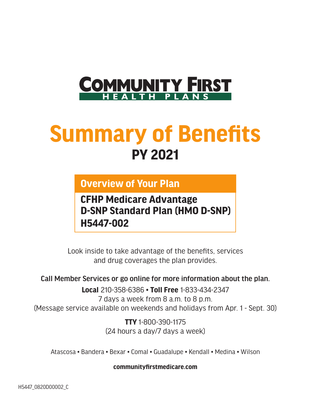

# **Summary of Benefits PY 2021**

#### **Overview of Your Plan**

**CFHP Medicare Advantage D-SNP Standard Plan (HMO D-SNP) H5447-002**

Look inside to take advantage of the benefits, services and drug coverages the plan provides.

Call Member Services or go online for more information about the plan.

**Local** 210-358-6386 • **Toll Free** 1-833-434-2347 7 days a week from 8 a.m. to 8 p.m. (Message service available on weekends and holidays from Apr. 1 - Sept. 30)

> **TTY** 1-800-390-1175 (24 hours a day/7 days a week)

Atascosa • Bandera • Bexar • Comal • Guadalupe • Kendall • Medina • Wilson

**[communityfirstmedicare.com](http://www.communityfirstmedicare.com)**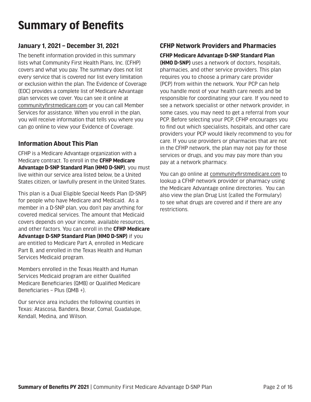### **Summary of Benefits**

#### **January 1, 2021 – December 31, 2021**

The benefit information provided in this summary lists what Community First Health Plans, Inc. (CFHP) covers and what you pay. The summary does not list every service that is covered nor list every limitation or exclusion within the plan. The Evidence of Coverage (EOC) provides a complete list of Medicare Advantage plan services we cover. You can see it online at [communityfirstmedicare.com](http://www.communityfirstmedicare.com) or you can call Member Services for assistance. When you enroll in the plan, you will receive information that tells you where you can go online to view your Evidence of Coverage.

#### **Information About This Plan**

CFHP is a Medicare Advantage organization with a Medicare contract. To enroll in the **CFHP Medicare Advantage D-SNP Standard Plan (HMO D-SNP)**, you must live within our service area listed below, be a United States citizen, or lawfully present in the United States.

This plan is a Dual Eligible Special Needs Plan (D-SNP) for people who have Medicare and Medicaid. As a member in a D-SNP plan, you don't pay anything for covered medical services. The amount that Medicaid covers depends on your income, available resources, and other factors. You can enroll in the **CFHP Medicare Advantage D-SNP Standard Plan (HMO D-SNP)** if you are entitled to Medicare Part A, enrolled in Medicare Part B, and enrolled in the Texas Health and Human Services Medicaid program.

Members enrolled in the Texas Health and Human Services Medicaid program are either Qualified Medicare Beneficiaries (QMB) or Qualified Medicare Beneficiaries – Plus (QMB +).

Our service area includes the following counties in Texas: Atascosa, Bandera, Bexar, Comal, Guadalupe, Kendall, Medina, and Wilson.

#### **CFHP Network Providers and Pharmacies**

**CFHP Medicare Advantage D-SNP Standard Plan** 

**(HMO D-SNP)** uses a network of doctors, hospitals, pharmacies, and other service providers. This plan requires you to choose a primary care provider (PCP) from within the network. Your PCP can help you handle most of your health care needs and be responsible for coordinating your care. If you need to see a network specialist or other network provider, in some cases, you may need to get a referral from your PCP. Before selecting your PCP, CFHP encourages you to find out which specialists, hospitals, and other care providers your PCP would likely recommend to you for care. If you use providers or pharmacies that are not in the CFHP network, the plan may not pay for those services or drugs, and you may pay more than you pay at a network pharmacy.

You can go online at [communityfirstmedicare.com](http://www.communityfirstmedicare.com) to lookup a CFHP network provider or pharmacy using the Medicare Advantage online directories. You can also view the plan Drug List (called the Formulary) to see what drugs are covered and if there are any restrictions.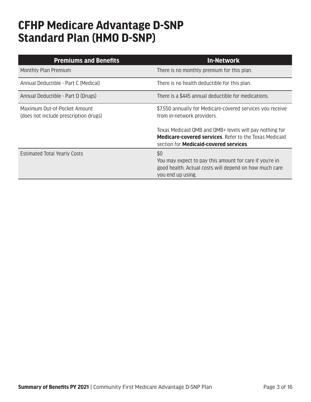### **CFHP Medicare Advantage D-SNP Standard Plan (HMO D-SNP)**

| <b>Premiums and Benefits</b>                                          | <b>In-Network</b>                                                                                                                                                        |
|-----------------------------------------------------------------------|--------------------------------------------------------------------------------------------------------------------------------------------------------------------------|
| Monthly Plan Premium                                                  | There is no monthly premium for this plan.                                                                                                                               |
| Annual Deductible - Part C (Medical)                                  | There is no health deductible for this plan.                                                                                                                             |
| Annual Deductible - Part D (Drugs)                                    | There is a \$445 annual deductible for medications.                                                                                                                      |
| Maximum Out-of-Pocket Amount<br>(does not include prescription drugs) | \$7,550 annually for Medicare-covered services you receive<br>from in-network providers.                                                                                 |
|                                                                       | Texas Medicaid QMB and QMB+ levels will pay nothing for<br><b>Medicare-covered services.</b> Refer to the Texas Medicaid<br>section for <b>Medicaid-covered services</b> |
| <b>Estimated Total Yearly Costs</b>                                   | \$0<br>You may expect to pay this amount for care if you're in<br>good health. Actual costs will depend on how much care<br>you end up using.                            |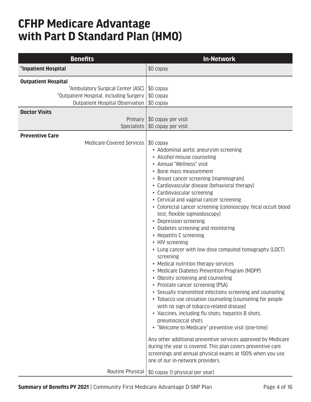### **CFHP Medicare Advantage with Part D Standard Plan (HMO)**

| <b>Benefits</b>                                                                                                                                                                                   | <b>In-Network</b>                                                                                                                                                                                                                                                                                                                                                                                                                                                                                                                                                                                                                                                                                                                                                                                                                                                                                                                                                                                                                                                                                                                                                                                                                                                                                                      |
|---------------------------------------------------------------------------------------------------------------------------------------------------------------------------------------------------|------------------------------------------------------------------------------------------------------------------------------------------------------------------------------------------------------------------------------------------------------------------------------------------------------------------------------------------------------------------------------------------------------------------------------------------------------------------------------------------------------------------------------------------------------------------------------------------------------------------------------------------------------------------------------------------------------------------------------------------------------------------------------------------------------------------------------------------------------------------------------------------------------------------------------------------------------------------------------------------------------------------------------------------------------------------------------------------------------------------------------------------------------------------------------------------------------------------------------------------------------------------------------------------------------------------------|
| *Inpatient Hospital                                                                                                                                                                               | \$0 copay                                                                                                                                                                                                                                                                                                                                                                                                                                                                                                                                                                                                                                                                                                                                                                                                                                                                                                                                                                                                                                                                                                                                                                                                                                                                                                              |
| <b>Outpatient Hospital</b><br>*Ambulatory Surgical Center (ASC)<br>*Outpatient Hospital, including Surgery<br>Outpatient Hospital Observation<br><b>Doctor Visits</b><br>Primary  <br>Specialists | \$0 copay<br>\$0 copay<br>\$0 copay<br>\$0 copay per visit<br>\$0 copay per visit                                                                                                                                                                                                                                                                                                                                                                                                                                                                                                                                                                                                                                                                                                                                                                                                                                                                                                                                                                                                                                                                                                                                                                                                                                      |
| <b>Preventive Care</b><br>Medicare-Covered Services                                                                                                                                               | \$0 copay<br>• Abdominal aortic aneurysm screening<br>• Alcohol misuse counseling<br>• Annual "Wellness" visit<br>• Bone mass measurement<br>• Breast cancer screening (mammogram)<br>• Cardiovascular disease (behavioral therapy)<br>• Cardiovascular screening<br>• Cervical and vaginal cancer screening<br>• Colorectal cancer screening (colonoscopy, fecal occult blood<br>test, flexible sigmoidoscopy)<br>• Depression screening<br>• Diabetes screening and monitoring<br>• Hepatitis C screening<br>• HIV screening<br>• Lung cancer with low dose computed tomography (LDCT)<br>screening<br>• Medical nutrition therapy services<br>• Medicare Diabetes Prevention Program (MDPP)<br>• Obesity screening and counseling<br>• Prostate cancer screening (PSA)<br>• Sexually transmitted infections screening and counseling<br>• Tobacco use cessation counseling (counseling for people<br>with no sign of tobacco-related disease)<br>• Vaccines, including flu shots, hepatitis B shots,<br>pneumococcal shots<br>• "Welcome to Medicare" preventive visit (one-time)<br>Any other additional preventive services approved by Medicare<br>during the year is covered. This plan covers preventive care<br>screenings and annual physical exams at 100% when you use<br>one of our in-network providers. |
| Routine Physical                                                                                                                                                                                  | \$0 copay (1 physical per year)                                                                                                                                                                                                                                                                                                                                                                                                                                                                                                                                                                                                                                                                                                                                                                                                                                                                                                                                                                                                                                                                                                                                                                                                                                                                                        |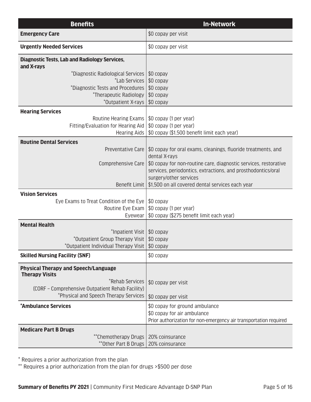| <b>Benefits</b>                                                                           | <b>In-Network</b>                                                 |
|-------------------------------------------------------------------------------------------|-------------------------------------------------------------------|
| <b>Emergency Care</b>                                                                     | \$0 copay per visit                                               |
| <b>Urgently Needed Services</b>                                                           | \$0 copay per visit                                               |
| <b>Diagnostic Tests, Lab and Radiology Services,</b><br>and X-rays                        |                                                                   |
| *Diagnostic Radiological Services                                                         | \$0 copay                                                         |
| *Lab Services                                                                             | \$0 copay                                                         |
| *Diagnostic Tests and Procedures                                                          | $$0$ copay                                                        |
| *Therapeutic Radiology                                                                    | \$0 copay                                                         |
| *Outpatient X-rays                                                                        | \$0 copay                                                         |
| <b>Hearing Services</b>                                                                   |                                                                   |
| Routine Hearing Exams                                                                     | \$0 copay (1 per year)                                            |
| Fitting/Evaluation for Hearing Aid                                                        | \$0 copay (1 per year)                                            |
| Hearing Aids                                                                              | \$0 copay (\$1,500 benefit limit each year)                       |
| <b>Routine Dental Services</b>                                                            |                                                                   |
| Preventative Care                                                                         | \$0 copay for oral exams, cleanings, fluoride treatments, and     |
|                                                                                           | dental X-rays                                                     |
| Comprehensive Care                                                                        | \$0 copay for non-routine care, diagnostic services, restorative  |
|                                                                                           | services, periodontics, extractions, and prosthodontics/oral      |
|                                                                                           | surgery/other services                                            |
| Benefit Limit                                                                             | \$1,500 on all covered dental services each year                  |
| <b>Vision Services</b>                                                                    |                                                                   |
| Eye Exams to Treat Condition of the Eye                                                   | \$0 copay                                                         |
| Routine Eye Exam                                                                          | \$0 copay (1 per year)                                            |
| Eyewear                                                                                   | \$0 copay (\$275 benefit limit each year)                         |
| <b>Mental Health</b>                                                                      |                                                                   |
| *Inpatient Visit   \$0 copay                                                              |                                                                   |
| *Outpatient Group Therapy Visit<br>*Outpatient Individual Therapy Visit   \$0 copay       | $$0$ copay                                                        |
|                                                                                           |                                                                   |
| <b>Skilled Nursing Facility (SNF)</b>                                                     | \$0 copay                                                         |
| <b>Physical Therapy and Speech/Language</b>                                               |                                                                   |
| <b>Therapy Visits</b>                                                                     |                                                                   |
| *Rehab Services                                                                           | \$0 copay per visit                                               |
| (CORF - Comprehensive Outpatient Rehab Facility)<br>*Physical and Speech Therapy Services |                                                                   |
|                                                                                           | \$0 copay per visit                                               |
| *Ambulance Services                                                                       | \$0 copay for ground ambulance                                    |
|                                                                                           | \$0 copay for air ambulance                                       |
|                                                                                           | Prior authorization for non-emergency air transportation required |
| <b>Medicare Part B Drugs</b>                                                              |                                                                   |
| **Chemotherapy Drugs                                                                      | 20% coinsurance                                                   |
| **Other Part B Drugs                                                                      | 20% coinsurance                                                   |

\* Requires a prior authorization from the plan

\*\* Requires a prior authorization from the plan for drugs >\$500 per dose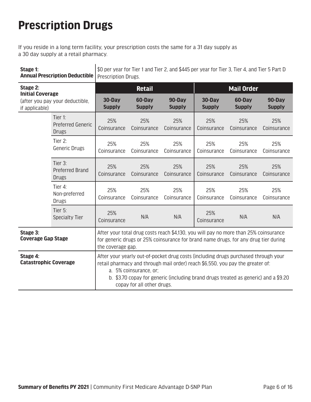## **Prescription Drugs**

If you reside in a long term facility, your prescription costs the same for a 31 day supply as a 30 day supply at a retail pharmacy.

| Stage 1:                                 | <b>Annual Prescription Deductible</b>                | \$0 per year for Tier 1 and Tier 2, and \$445 per year for Tier 3, Tier 4, and Tier 5 Part D<br>Prescription Drugs.                                                                                                                                                                                                 |                         |                         |                         |                         |                         |
|------------------------------------------|------------------------------------------------------|---------------------------------------------------------------------------------------------------------------------------------------------------------------------------------------------------------------------------------------------------------------------------------------------------------------------|-------------------------|-------------------------|-------------------------|-------------------------|-------------------------|
| Stage 2:<br><b>Initial Coverage</b>      |                                                      |                                                                                                                                                                                                                                                                                                                     | <b>Retail</b>           |                         |                         | <b>Mail Order</b>       |                         |
| if applicable)                           | (after you pay your deductible,                      | 30-Day<br><b>Supply</b>                                                                                                                                                                                                                                                                                             | 60-Day<br><b>Supply</b> | 90-Day<br><b>Supply</b> | 30-Day<br><b>Supply</b> | 60-Day<br><b>Supply</b> | 90-Day<br><b>Supply</b> |
|                                          | Tier 1:<br><b>Preferred Generic</b><br><b>Drugs</b>  | 25%<br>Coinsurance                                                                                                                                                                                                                                                                                                  | 25%<br>Coinsurance      | 25%<br>Coinsurance      | 25%<br>Coinsurance      | 25%<br>Coinsurance      | 25%<br>Coinsurance      |
|                                          | Tier $2$ :<br><b>Generic Drugs</b>                   | 25%<br>Coinsurance                                                                                                                                                                                                                                                                                                  | 25%<br>Coinsurance      | 25%<br>Coinsurance      | 25%<br>Coinsurance      | 25%<br>Coinsurance      | 25%<br>Coinsurance      |
|                                          | Tier $3$ :<br><b>Preferred Brand</b><br><b>Drugs</b> | 25%<br>Coinsurance                                                                                                                                                                                                                                                                                                  | 25%<br>Coinsurance      | 25%<br>Coinsurance      | 25%<br>Coinsurance      | 25%<br>Coinsurance      | 25%<br>Coinsurance      |
|                                          | Tier 4:<br>Non-preferred<br><b>Drugs</b>             | 25%<br>Coinsurance                                                                                                                                                                                                                                                                                                  | 25%<br>Coinsurance      | 25%<br>Coinsurance      | 25%<br>Coinsurance      | 25%<br>Coinsurance      | 25%<br>Coinsurance      |
|                                          | Tier 5:<br><b>Specialty Tier</b>                     | 25%<br>Coinsurance                                                                                                                                                                                                                                                                                                  | N/A                     | N/A                     | 25%<br>Coinsurance      | N/A                     | N/A                     |
| Stage 3:<br><b>Coverage Gap Stage</b>    |                                                      | After your total drug costs reach \$4,130, you will pay no more than 25% coinsurance<br>for generic drugs or 25% coinsurance for brand name drugs, for any drug tier during<br>the coverage gap.                                                                                                                    |                         |                         |                         |                         |                         |
| Stage 4:<br><b>Catastrophic Coverage</b> |                                                      | After your yearly out-of-pocket drug costs (including drugs purchased through your<br>retail pharmacy and through mail order) reach \$6,550, you pay the greater of:<br>a. 5% coinsurance, or;<br>b. \$3.70 copay for generic (including brand drugs treated as generic) and a \$9.20<br>copay for all other drugs. |                         |                         |                         |                         |                         |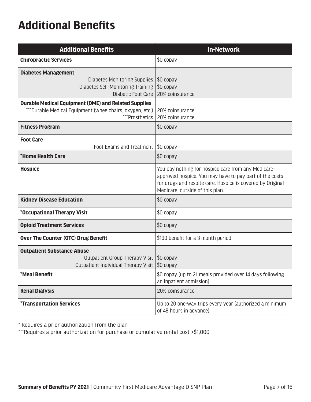### **Additional Benefits**

| <b>Additional Benefits</b>                                                                                                                | <b>In-Network</b>                                                                                                                                                                                               |
|-------------------------------------------------------------------------------------------------------------------------------------------|-----------------------------------------------------------------------------------------------------------------------------------------------------------------------------------------------------------------|
| <b>Chiropractic Services</b>                                                                                                              | \$0 copay                                                                                                                                                                                                       |
| <b>Diabetes Management</b><br><b>Diabetes Monitoring Supplies</b><br>Diabetes Self-Monitoring Training<br>Diabetic Foot Care              | \$0 copay<br>$$0$ copay<br>20% coinsurance                                                                                                                                                                      |
| <b>Durable Medical Equipment (DME) and Related Supplies</b><br>***Durable Medical Equipment (wheelchairs, oxygen, etc.)<br>***Prosthetics | 20% coinsurance<br>20% coinsurance                                                                                                                                                                              |
| <b>Fitness Program</b>                                                                                                                    | \$0 copay                                                                                                                                                                                                       |
| <b>Foot Care</b><br>Foot Exams and Treatment                                                                                              | $\$0$ copay                                                                                                                                                                                                     |
| *Home Health Care                                                                                                                         | \$0 copay                                                                                                                                                                                                       |
| <b>Hospice</b>                                                                                                                            | You pay nothing for hospice care from any Medicare-<br>approved hospice. You may have to pay part of the costs<br>for drugs and respite care. Hospice is covered by Original<br>Medicare, outside of this plan. |
| <b>Kidney Disease Education</b>                                                                                                           | \$0 copay                                                                                                                                                                                                       |
| *Occupational Therapy Visit                                                                                                               | \$0 copay                                                                                                                                                                                                       |
| <b>Opioid Treatment Services</b>                                                                                                          | \$0 copay                                                                                                                                                                                                       |
| <b>Over The Counter (OTC) Drug Benefit</b>                                                                                                | \$190 benefit for a 3 month period                                                                                                                                                                              |
| <b>Outpatient Substance Abuse</b><br>Outpatient Group Therapy Visit<br>Outpatient Individual Therapy Visit                                | \$0 copay<br>\$0 copay                                                                                                                                                                                          |
| *Meal Benefit                                                                                                                             | \$0 copay (up to 21 meals provided over 14 days following<br>an inpatient admission)                                                                                                                            |
| <b>Renal Dialysis</b>                                                                                                                     | 20% coinsurance                                                                                                                                                                                                 |
| <i><b>*Transportation Services</b></i>                                                                                                    | Up to 20 one-way trips every year (authorized a minimum<br>of 48 hours in advance)                                                                                                                              |

 $^\star$  Requires a prior authorization from the plan

\*\*\*Requires a prior authorization for purchase or cumulative rental cost >\$1,000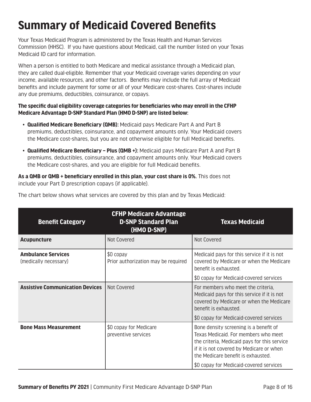### **Summary of Medicaid Covered Benefits**

Your Texas Medicaid Program is administered by the Texas Health and Human Services Commission (HHSC). If you have questions about Medicaid, call the number listed on your Texas Medicaid ID card for information.

When a person is entitled to both Medicare and medical assistance through a Medicaid plan, they are called dual-eligible. Remember that your Medicaid coverage varies depending on your income, available resources, and other factors. Benefits may include the full array of Medicaid benefits and include payment for some or all of your Medicare cost-shares. Cost-shares include any due premiums, deductibles, coinsurance, or copays.

#### **The specific dual eligibility coverage categories for beneficiaries who may enroll in the CFHP Medicare Advantage D-SNP Standard Plan (HMO D-SNP) are listed below:**

- **Qualified Medicare Beneficiary (QMB):** Medicaid pays Medicare Part A and Part B premiums, deductibles, coinsurance, and copayment amounts only. Your Medicaid covers the Medicare cost-shares, but you are not otherwise eligible for full Medicaid benefits.
- **Qualified Medicare Beneficiary Plus (QMB +):** Medicaid pays Medicare Part A and Part B premiums, deductibles, coinsurance, and copayment amounts only. Your Medicaid covers the Medicare cost-shares, and you are eligible for full Medicaid benefits.

**As a QMB or QMB + beneficiary enrolled in this plan, your cost share is 0%.** This does not include your Part D prescription copays (if applicable).

| <b>Benefit Category</b>                            | <b>CFHP Medicare Advantage</b><br><b>D-SNP Standard Plan</b><br>(HMO D-SNP) | <b>Texas Medicaid</b>                                                                                                                                                                                                                                       |
|----------------------------------------------------|-----------------------------------------------------------------------------|-------------------------------------------------------------------------------------------------------------------------------------------------------------------------------------------------------------------------------------------------------------|
| <b>Acupuncture</b>                                 | Not Covered                                                                 | Not Covered                                                                                                                                                                                                                                                 |
| <b>Ambulance Services</b><br>(medically necessary) | \$0 copay<br>Prior authorization may be required                            | Medicaid pays for this service if it is not<br>covered by Medicare or when the Medicare<br>benefit is exhausted.                                                                                                                                            |
|                                                    |                                                                             | \$0 copay for Medicaid-covered services                                                                                                                                                                                                                     |
| <b>Assistive Communication Devices</b>             | Not Covered                                                                 | For members who meet the criteria,<br>Medicaid pays for this service if it is not<br>covered by Medicare or when the Medicare<br>benefit is exhausted.                                                                                                      |
|                                                    |                                                                             | \$0 copay for Medicaid-covered services                                                                                                                                                                                                                     |
| <b>Bone Mass Measurement</b>                       | \$0 copay for Medicare<br>preventive services                               | Bone density screening is a benefit of<br>Texas Medicaid. For members who meet<br>the criteria, Medicaid pays for this service<br>if it is not covered by Medicare or when<br>the Medicare benefit is exhausted.<br>\$0 copay for Medicaid-covered services |

The chart below shows what services are covered by this plan and by Texas Medicaid: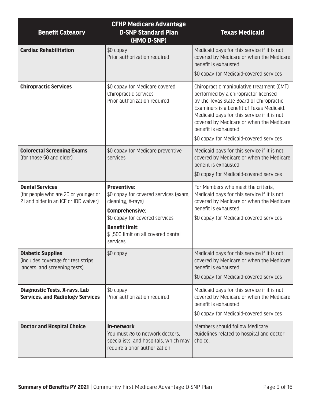| <b>Benefit Category</b>                                                                                 | <b>CFHP Medicare Advantage</b><br><b>D-SNP Standard Plan</b><br>(HMO D-SNP)                                                    | <b>Texas Medicaid</b>                                                                                                                                                                                                                                                                                                                     |
|---------------------------------------------------------------------------------------------------------|--------------------------------------------------------------------------------------------------------------------------------|-------------------------------------------------------------------------------------------------------------------------------------------------------------------------------------------------------------------------------------------------------------------------------------------------------------------------------------------|
| <b>Cardiac Rehabilitation</b>                                                                           | \$0 copay<br>Prior authorization required                                                                                      | Medicaid pays for this service if it is not<br>covered by Medicare or when the Medicare<br>benefit is exhausted.                                                                                                                                                                                                                          |
|                                                                                                         |                                                                                                                                | \$0 copay for Medicaid-covered services                                                                                                                                                                                                                                                                                                   |
| <b>Chiropractic Services</b>                                                                            | \$0 copay for Medicare covered<br>Chiropractic services<br>Prior authorization required                                        | Chiropractic manipulative treatment (CMT)<br>performed by a chiropractor licensed<br>by the Texas State Board of Chiropractic<br>Examiners is a benefit of Texas Medicaid.<br>Medicaid pays for this service if it is not<br>covered by Medicare or when the Medicare<br>benefit is exhausted.<br>\$0 copay for Medicaid-covered services |
| <b>Colorectal Screening Exams</b><br>(for those 50 and older)                                           | \$0 copay for Medicare preventive<br>services                                                                                  | Medicaid pays for this service if it is not<br>covered by Medicare or when the Medicare<br>benefit is exhausted.                                                                                                                                                                                                                          |
|                                                                                                         |                                                                                                                                | \$0 copay for Medicaid-covered services                                                                                                                                                                                                                                                                                                   |
| <b>Dental Services</b><br>(for people who are 20 or younger or<br>21 and older in an ICF or IDD waiver) | <b>Preventive:</b><br>\$0 copay for covered services (exam,<br>cleaning, X-rays)                                               | For Members who meet the criteria,<br>Medicaid pays for this service if it is not<br>covered by Medicare or when the Medicare                                                                                                                                                                                                             |
|                                                                                                         | <b>Comprehensive:</b><br>\$0 copay for covered services                                                                        | benefit is exhausted.<br>\$0 copay for Medicaid-covered services                                                                                                                                                                                                                                                                          |
|                                                                                                         | <b>Benefit limit:</b><br>\$1,500 limit on all covered dental<br>services                                                       |                                                                                                                                                                                                                                                                                                                                           |
| <b>Diabetic Supplies</b><br>(includes coverage for test strips,<br>lancets, and screening tests)        | \$0 copay                                                                                                                      | Medicaid pays for this service if it is not<br>covered by Medicare or when the Medicare<br>benefit is exhausted.<br>\$0 copay for Medicaid-covered services                                                                                                                                                                               |
|                                                                                                         |                                                                                                                                |                                                                                                                                                                                                                                                                                                                                           |
| <b>Diagnostic Tests, X-rays, Lab</b><br><b>Services, and Radiology Services</b>                         | \$0 copay<br>Prior authorization required                                                                                      | Medicaid pays for this service if it is not<br>covered by Medicare or when the Medicare<br>benefit is exhausted.<br>\$0 copay for Medicaid-covered services                                                                                                                                                                               |
| <b>Doctor and Hospital Choice</b>                                                                       | <b>In-network</b><br>You must go to network doctors,<br>specialists, and hospitals, which may<br>require a prior authorization | Members should follow Medicare<br>guidelines related to hospital and doctor<br>choice.                                                                                                                                                                                                                                                    |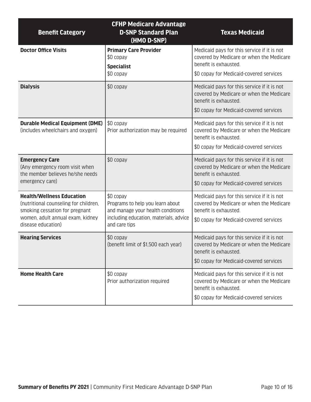| <b>Benefit Category</b>                                                                                                                                               | <b>CFHP Medicare Advantage</b><br><b>D-SNP Standard Plan</b><br>(HMO D-SNP)                                                                   | <b>Texas Medicaid</b>                                                                                                                                       |
|-----------------------------------------------------------------------------------------------------------------------------------------------------------------------|-----------------------------------------------------------------------------------------------------------------------------------------------|-------------------------------------------------------------------------------------------------------------------------------------------------------------|
| <b>Doctor Office Visits</b>                                                                                                                                           | <b>Primary Care Provider</b><br>\$0 copay<br><b>Specialist</b><br>\$0 copay                                                                   | Medicaid pays for this service if it is not<br>covered by Medicare or when the Medicare<br>benefit is exhausted.<br>\$0 copay for Medicaid-covered services |
| <b>Dialysis</b>                                                                                                                                                       | \$0 copay                                                                                                                                     | Medicaid pays for this service if it is not<br>covered by Medicare or when the Medicare<br>benefit is exhausted.<br>\$0 copay for Medicaid-covered services |
| <b>Durable Medical Equipment (DME)</b><br>(includes wheelchairs and oxygen)                                                                                           | \$0 copay<br>Prior authorization may be required                                                                                              | Medicaid pays for this service if it is not<br>covered by Medicare or when the Medicare<br>benefit is exhausted.<br>\$0 copay for Medicaid-covered services |
| <b>Emergency Care</b><br>(Any emergency room visit when<br>the member believes he/she needs<br>emergency care)                                                        | \$0 copay                                                                                                                                     | Medicaid pays for this service if it is not<br>covered by Medicare or when the Medicare<br>benefit is exhausted.<br>\$0 copay for Medicaid-covered services |
| <b>Health/Wellness Education</b><br>(nutritional counseling for children,<br>smoking cessation for pregnant<br>women, adult annual exam, kidney<br>disease education) | \$0 copay<br>Programs to help you learn about<br>and manage your health conditions<br>including education, materials, advice<br>and care tips | Medicaid pays for this service if it is not<br>covered by Medicare or when the Medicare<br>benefit is exhausted.<br>\$0 copay for Medicaid-covered services |
| <b>Hearing Services</b>                                                                                                                                               | \$0 copay<br>(benefit limit of \$1,500 each year)                                                                                             | Medicaid pays for this service if it is not<br>covered by Medicare or when the Medicare<br>benefit is exhausted.<br>\$0 copay for Medicaid-covered services |
| <b>Home Health Care</b>                                                                                                                                               | \$0 copay<br>Prior authorization required                                                                                                     | Medicaid pays for this service if it is not<br>covered by Medicare or when the Medicare<br>benefit is exhausted.<br>\$0 copay for Medicaid-covered services |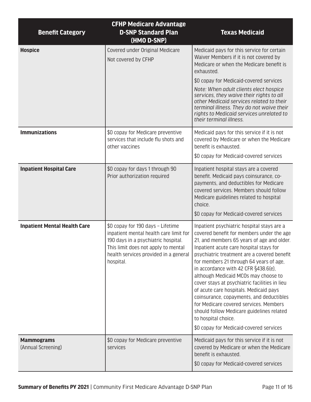| <b>Benefit Category</b>                 | <b>CFHP Medicare Advantage</b><br><b>D-SNP Standard Plan</b><br>(HMO D-SNP)                                                                                                                                     | <b>Texas Medicaid</b>                                                                                                                                                                                                                                                                                                                                                                                                                                                                                                                                                                                                                                      |
|-----------------------------------------|-----------------------------------------------------------------------------------------------------------------------------------------------------------------------------------------------------------------|------------------------------------------------------------------------------------------------------------------------------------------------------------------------------------------------------------------------------------------------------------------------------------------------------------------------------------------------------------------------------------------------------------------------------------------------------------------------------------------------------------------------------------------------------------------------------------------------------------------------------------------------------------|
| <b>Hospice</b>                          | Covered under Original Medicare<br>Not covered by CFHP                                                                                                                                                          | Medicaid pays for this service for certain<br>Waiver Members if it is not covered by<br>Medicare or when the Medicare benefit is<br>exhausted.                                                                                                                                                                                                                                                                                                                                                                                                                                                                                                             |
|                                         |                                                                                                                                                                                                                 | \$0 copay for Medicaid-covered services<br>Note: When adult clients elect hospice<br>services, they waive their rights to all<br>other Medicaid services related to their<br>terminal illness. They do not waive their<br>rights to Medicaid services unrelated to<br>their terminal illness.                                                                                                                                                                                                                                                                                                                                                              |
| <b>Immunizations</b>                    | \$0 copay for Medicare preventive<br>services that include flu shots and<br>other vaccines                                                                                                                      | Medicaid pays for this service if it is not<br>covered by Medicare or when the Medicare<br>benefit is exhausted.<br>\$0 copay for Medicaid-covered services                                                                                                                                                                                                                                                                                                                                                                                                                                                                                                |
| <b>Inpatient Hospital Care</b>          | \$0 copay for days 1 through 90<br>Prior authorization required                                                                                                                                                 | Inpatient hospital stays are a covered<br>benefit. Medicaid pays coinsurance, co-<br>payments, and deductibles for Medicare<br>covered services. Members should follow<br>Medicare guidelines related to hospital<br>choice.<br>\$0 copay for Medicaid-covered services                                                                                                                                                                                                                                                                                                                                                                                    |
| <b>Inpatient Mental Health Care</b>     | \$0 copay for 190 days - Lifetime<br>inpatient mental health care limit for<br>190 days in a psychiatric hospital.<br>This limit does not apply to mental<br>health services provided in a general<br>hospital. | Inpatient psychiatric hospital stays are a<br>covered benefit for members under the age<br>21, and members 65 years of age and older.<br>Inpatient acute care hospital stays for<br>psychiatric treatment are a covered benefit<br>for members 21 through 64 years of age,<br>in accordance with 42 CFR §438.6(e),<br>although Medicaid MCOs may choose to<br>cover stays at psychiatric facilities in lieu<br>of acute care hospitals. Medicaid pays<br>coinsurance, copayments, and deductibles<br>for Medicare covered services. Members<br>should follow Medicare guidelines related<br>to hospital choice.<br>\$0 copay for Medicaid-covered services |
| <b>Mammograms</b><br>(Annual Screening) | \$0 copay for Medicare preventive<br>services                                                                                                                                                                   | Medicaid pays for this service if it is not<br>covered by Medicare or when the Medicare<br>benefit is exhausted.<br>\$0 copay for Medicaid-covered services                                                                                                                                                                                                                                                                                                                                                                                                                                                                                                |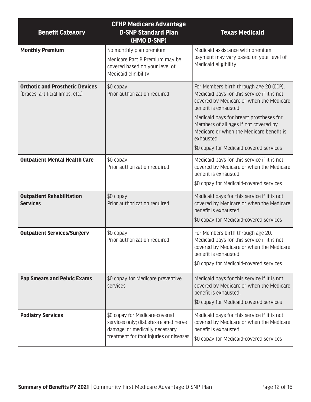| <b>Benefit Category</b>                                                    | <b>CFHP Medicare Advantage</b><br><b>D-SNP Standard Plan</b><br>(HMO D-SNP)                                                                          | <b>Texas Medicaid</b>                                                                                                                                                                            |
|----------------------------------------------------------------------------|------------------------------------------------------------------------------------------------------------------------------------------------------|--------------------------------------------------------------------------------------------------------------------------------------------------------------------------------------------------|
| <b>Monthly Premium</b>                                                     | No monthly plan premium<br>Medicare Part B Premium may be<br>covered based on your level of<br>Medicaid eligibility                                  | Medicaid assistance with premium<br>payment may vary based on your level of<br>Medicaid eligibility.                                                                                             |
| <b>Orthotic and Prosthetic Devices</b><br>(braces, artificial limbs, etc.) | \$0 copay<br>Prior authorization required                                                                                                            | For Members birth through age 20 (CCP),<br>Medicaid pays for this service if it is not<br>covered by Medicare or when the Medicare<br>benefit is exhausted.                                      |
|                                                                            |                                                                                                                                                      | Medicaid pays for breast prostheses for<br>Members of all ages if not covered by<br>Medicare or when the Medicare benefit is<br>exhausted.<br>\$0 copay for Medicaid-covered services            |
| <b>Outpatient Mental Health Care</b>                                       | \$0 copay                                                                                                                                            | Medicaid pays for this service if it is not                                                                                                                                                      |
|                                                                            | Prior authorization required                                                                                                                         | covered by Medicare or when the Medicare<br>benefit is exhausted.                                                                                                                                |
|                                                                            |                                                                                                                                                      | \$0 copay for Medicaid-covered services                                                                                                                                                          |
| <b>Outpatient Rehabilitation</b><br><b>Services</b>                        | \$0 copay<br>Prior authorization required                                                                                                            | Medicaid pays for this service if it is not<br>covered by Medicare or when the Medicare<br>benefit is exhausted.                                                                                 |
|                                                                            |                                                                                                                                                      | \$0 copay for Medicaid-covered services                                                                                                                                                          |
| <b>Outpatient Services/Surgery</b>                                         | \$0 copay<br>Prior authorization required                                                                                                            | For Members birth through age 20,<br>Medicaid pays for this service if it is not<br>covered by Medicare or when the Medicare<br>benefit is exhausted.<br>\$0 copay for Medicaid-covered services |
| <b>Pap Smears and Pelvic Exams</b>                                         | \$0 copay for Medicare preventive<br>services                                                                                                        | Medicaid pays for this service if it is not<br>covered by Medicare or when the Medicare<br>benefit is exhausted.<br>\$0 copay for Medicaid-covered services                                      |
| <b>Podiatry Services</b>                                                   | \$0 copay for Medicare-covered<br>services only; diabetes-related nerve<br>damage; or medically necessary<br>treatment for foot injuries or diseases | Medicaid pays for this service if it is not<br>covered by Medicare or when the Medicare<br>benefit is exhausted.<br>\$0 copay for Medicaid-covered services                                      |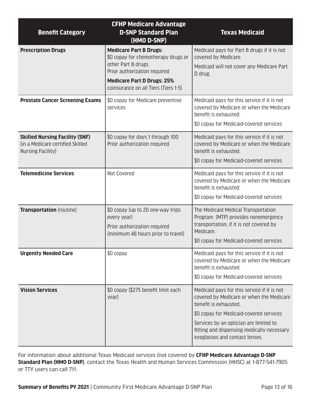| <b>Benefit Category</b>                                                                        | <b>CFHP Medicare Advantage</b><br><b>D-SNP Standard Plan</b><br>(HMO D-SNP)                                                                                                                              | <b>Texas Medicaid</b>                                                                                                                                                                                                                                                                 |
|------------------------------------------------------------------------------------------------|----------------------------------------------------------------------------------------------------------------------------------------------------------------------------------------------------------|---------------------------------------------------------------------------------------------------------------------------------------------------------------------------------------------------------------------------------------------------------------------------------------|
| <b>Prescription Drugs</b>                                                                      | <b>Medicare Part B Drugs:</b><br>\$0 copay for chemotherapy drugs or<br>other Part B drugs.<br>Prior authorization required<br><b>Medicare Part D Drugs: 25%</b><br>coinsurance on all Tiers (Tiers 1-5) | Medicaid pays for Part B drugs if it is not<br>covered by Medicare.<br>Medicaid will not cover any Medicare Part<br>D drug.                                                                                                                                                           |
| <b>Prostate Cancer Screening Exams</b>                                                         | \$0 copay for Medicare preventive<br>services                                                                                                                                                            | Medicaid pays for this service if it is not<br>covered by Medicare or when the Medicare<br>benefit is exhausted.<br>\$0 copay for Medicaid-covered services                                                                                                                           |
| <b>Skilled Nursing Facility (SNF)</b><br>(in a Medicare certified Skilled<br>Nursing Facility) | \$0 copay for days 1 through 100<br>Prior authorization required                                                                                                                                         | Medicaid pays for this service if it is not<br>covered by Medicare or when the Medicare<br>benefit is exhausted.<br>\$0 copay for Medicaid-covered services                                                                                                                           |
| <b>Telemedicine Services</b>                                                                   | Not Covered                                                                                                                                                                                              | Medicaid pays for this service if it is not<br>covered by Medicare or when the Medicare<br>benefit is exhausted.<br>\$0 copay for Medicaid-covered services                                                                                                                           |
| <b>Transportation</b> (routine)                                                                | \$0 copay (up to 20 one-way trips<br>every year)<br>Prior authorization required<br>(minimum 48 hours prior to travel)                                                                                   | The Medicaid Medical Transportation<br>Program (MTP) provides nonemergency<br>transportation, if it is not covered by<br>Medicare.<br>\$0 copay for Medicaid-covered services                                                                                                         |
| <b>Urgently Needed Care</b>                                                                    | \$0 copay                                                                                                                                                                                                | Medicaid pays for this service if it is not<br>covered by Medicare or when the Medicare<br>benefit is exhausted.<br>\$0 copay for Medicaid-covered services                                                                                                                           |
| <b>Vision Services</b>                                                                         | \$0 copay (\$275 benefit limit each<br>year)                                                                                                                                                             | Medicaid pays for this service if it is not<br>covered by Medicare or when the Medicare<br>benefit is exhausted.<br>\$0 copay for Medicaid-covered services<br>Services by an optician are limited to<br>fitting and dispensing medically necessary<br>eyeglasses and contact lenses. |

For information about additional Texas Medicaid services (not covered by **CFHP Medicare Advantage D-SNP Standard Plan (HMO D-SNP)**, contact the Texas Health and Human Services Commission (HHSC) at 1-877-541-7905 or TTY users can call 711.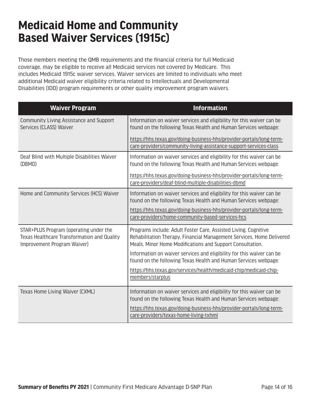### **Medicaid Home and Community Based Waiver Services (1915c)**

Those members meeting the QMB requirements and the financial criteria for full Medicaid coverage, may be eligible to receive all Medicaid services not covered by Medicare. This includes Medicaid 1915c waiver services. Waiver services are limited to individuals who meet additional Medicaid waiver eligibility criteria related to Intellectuals and Developmental Disabilities (IDD) program requirements or other quality improvement program waivers.

| <b>Waiver Program</b>                                                                                                | <b>Information</b>                                                                                                                                                                                    |
|----------------------------------------------------------------------------------------------------------------------|-------------------------------------------------------------------------------------------------------------------------------------------------------------------------------------------------------|
| Community Living Assistance and Support<br>Services (CLASS) Waiver                                                   | Information on waiver services and eligibility for this waiver can be<br>found on the following Texas Health and Human Services webpage:                                                              |
|                                                                                                                      | https://hhs.texas.gov/doing-business-hhs/provider-portals/long-term-<br>care-providers/community-living-assistance-support-services-class                                                             |
| Deaf Blind with Multiple Disabilities Waiver<br>(DBMD)                                                               | Information on waiver services and eligibility for this waiver can be<br>found on the following Texas Health and Human Services webpage:                                                              |
|                                                                                                                      | https://hhs.texas.gov/doing-business-hhs/provider-portals/long-term-<br>care-providers/deaf-blind-multiple-disabilities-dbmd                                                                          |
| Home and Community Services (HCS) Waiver                                                                             | Information on waiver services and eligibility for this waiver can be<br>found on the following Texas Health and Human Services webpage:                                                              |
|                                                                                                                      | https://hhs.texas.gov/doing-business-hhs/provider-portals/long-term-<br>care-providers/home-community-based-services-hcs                                                                              |
| STAR+PLUS Program (operating under the<br>Texas Healthcare Transformation and Quality<br>Improvement Program Waiver) | Programs include: Adult Foster Care, Assisted Living, Cognitive<br>Rehabilitation Therapy, Financial Management Services, Home Delivered<br>Meals, Minor Home Modifications and Support Consultation. |
|                                                                                                                      | Information on waiver services and eligibility for this waiver can be<br>found on the following Texas Health and Human Services webpage:                                                              |
|                                                                                                                      | https://hhs.texas.gov/services/health/medicaid-chip/medicaid-chip-<br>members/starplus                                                                                                                |
| Texas Home Living Waiver (CXML)                                                                                      | Information on waiver services and eligibility for this waiver can be<br>found on the following Texas Health and Human Services webpage:                                                              |
|                                                                                                                      | https://hhs.texas.gov/doing-business-hhs/provider-portals/long-term-<br>care-providers/texas-home-living-txhml                                                                                        |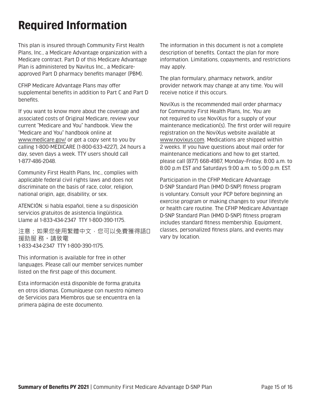### **Required Information**

This plan is insured through Community First Health Plans, Inc., a Medicare Advantage organization with a Medicare contract. Part D of this Medicare Advantage Plan is administered by Navitus Inc., a Medicareapproved Part D pharmacy benefits manager (PBM).

CFHP Medicare Advantage Plans may offer supplemental benefits in addition to Part C and Part D benefits.

If you want to know more about the coverage and associated costs of Original Medicare, review your current "Medicare and You" handbook. View the "Medicare and You" handbook online at [www.medicare.gov/](https://www.medicare.gov/) or get a copy sent to you by calling 1-800-MEDICARE (1-800-633-4227), 24 hours a day, seven days a week. TTY users should call 1-877-486-2048.

Community First Health Plans, Inc., complies with applicable federal civil rights laws and does not discriminate on the basis of race, color, religion, national origin, age, disability, or sex.

ATENCIÓN: si habla español, tiene a su disposición servicios gratuitos de asistencia lingüística. Llame al 1-833-434-2347 TTY 1-800-390-1175.

注意:如果您使用繁體中文,您可以免費獲得語口 援助服 務。請致電 1-833-434-2347 TTY 1-800-390-1175.

This information is available for free in other languages. Please call our member services number listed on the first page of this document.

Esta información está disponible de forma gratuita en otros idiomas. Comuníquese con nuestro número de Servicios para Miembros que se encuentra en la primera página de este documento.

The information in this document is not a complete description of benefits. Contact the plan for more information. Limitations, copayments, and restrictions may apply.

The plan formulary, pharmacy network, and/or provider network may change at any time. You will receive notice if this occurs.

NoviXus is the recommended mail order pharmacy for Community First Health Plans, Inc. You are not required to use NoviXus for a supply of your maintenance medication(s). The first order will require registration on the NoviXus website available at [www.novixus.com](http://www.novixus.com). Medications are shipped within 2 weeks. If you have questions about mail order for maintenance medications and how to get started, please call (877) 668-4987, Monday–Friday, 8:00 a.m. to 8:00 p.m EST and Saturdays 9:00 a.m. to 5:00 p.m. EST.

Participation in the CFHP Medicare Advantage D-SNP Standard Plan (HMO D-SNP) fitness program is voluntary. Consult your PCP before beginning an exercise program or making changes to your lifestyle or health care routine. The CFHP Medicare Advantage D-SNP Standard Plan (HMO D-SNP) fitness program includes standard fitness membership. Equipment, classes, personalized fitness plans, and events may vary by location.